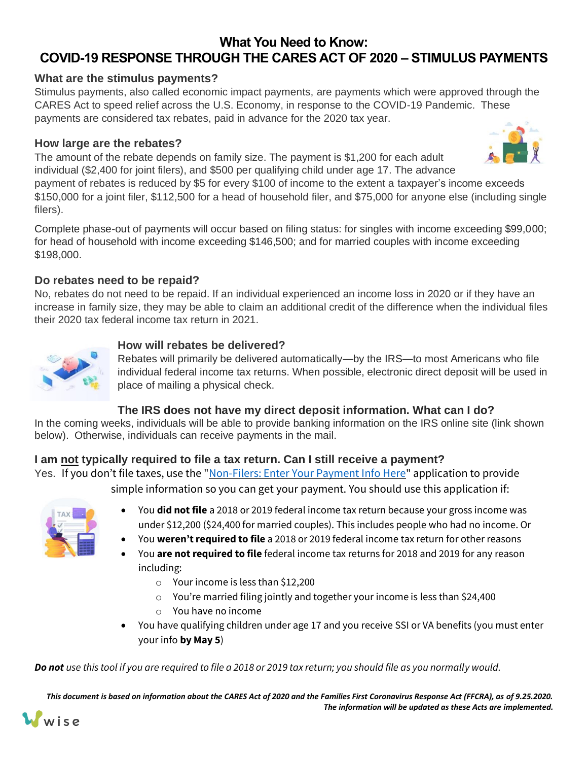# **What You Need to Know: COVID-19 RESPONSE THROUGH THE CARES ACT OF 2020 – STIMULUS PAYMENTS**

## **What are the stimulus payments?**

Stimulus payments, also called economic impact payments, are payments which were approved through the CARES Act to speed relief across the U.S. Economy, in response to the COVID-19 Pandemic. These payments are considered tax rebates, paid in advance for the 2020 tax year.

## **How large are the rebates?**

The amount of the rebate depends on family size. The payment is \$1,200 for each adult individual (\$2,400 for joint filers), and \$500 per qualifying child under age 17. The advance

payment of rebates is reduced by \$5 for every \$100 of income to the extent a taxpayer's income exceeds \$150,000 for a joint filer, \$112,500 for a head of household filer, and \$75,000 for anyone else (including single filers).

Complete phase-out of payments will occur based on filing status: for singles with income exceeding \$99,000; for head of household with income exceeding \$146,500; and for married couples with income exceeding \$198,000.

# **Do rebates need to be repaid?**

No, rebates do not need to be repaid. If an individual experienced an income loss in 2020 or if they have an increase in family size, they may be able to claim an additional credit of the difference when the individual files their 2020 tax federal income tax return in 2021.



#### **How will rebates be delivered?**

Rebates will primarily be delivered automatically—by the IRS—to most Americans who file individual federal income tax returns. When possible, electronic direct deposit will be used in place of mailing a physical check.

## **The IRS does not have my direct deposit information. What can I do?**

In the coming weeks, individuals will be able to provide banking information on the IRS online site (link shown below). Otherwise, individuals can receive payments in the mail.

## **I am not typically required to file a tax return. Can I still receive a payment?**

Yes. If you don't file taxes, use the "[Non-Filers: Enter Your](https://www.irs.gov/coronavirus/economic-impact-payments) Payment Info Here" application to provide simple information so you can get your payment. You should use this application if:

- You **did not file** a 2018 or 2019 federal income tax return because your gross income was under \$12,200 (\$24,400 for married couples). This includes people who had no income. Or
- You **weren't required to file** a 2018 or 2019 federal income tax return for other reasons
- You **are not required to file** federal income tax returns for 2018 and 2019 for any reason including:
	- o Your income is less than \$12,200
	- o You're married filing jointly and together your income is less than \$24,400
	- o You have no income
- You have qualifying children under age 17 and you receive SSI or VA benefits (you must enter your info **by May 5**)

*Do not use this tool if you are required to file a 2018 or 2019 tax return; you should file as you normally would.*

*This document is based on information about the CARES Act of 2020 and the Families First Coronavirus Response Act (FFCRA), as of 9.25.2020. The information will be updated as these Acts are implemented.*